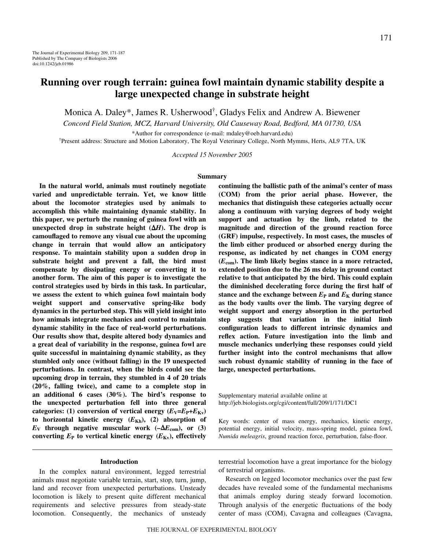# **Running over rough terrain: guinea fowl maintain dynamic stability despite a large unexpected change in substrate height**

Monica A. Daley\*, James R. Usherwood† , Gladys Felix and Andrew A. Biewener

*Concord Field Station, MCZ, Harvard University, Old Causeway Road, Bedford, MA 01730, USA*

\*Author for correspondence (e-mail: mdaley@oeb.harvard.edu)

† Present address: Structure and Motion Laboratory, The Royal Veterinary College, North Mymms, Herts, AL9 7TA, UK

*Accepted 15 November 2005*

### **Summary**

**In the natural world, animals must routinely negotiate varied and unpredictable terrain. Yet, we know little about the locomotor strategies used by animals to accomplish this while maintaining dynamic stability. In this paper, we perturb the running of guinea fowl with an** unexpected drop in substrate height  $(\Delta H)$ . The drop is **camouflaged to remove any visual cue about the upcoming change in terrain that would allow an anticipatory response. To maintain stability upon a sudden drop in substrate height and prevent a fall, the bird must compensate by dissipating energy or converting it to another form. The aim of this paper is to investigate the control strategies used by birds in this task. In particular, we assess the extent to which guinea fowl maintain body weight support and conservative spring-like body dynamics in the perturbed step. This will yield insight into how animals integrate mechanics and control to maintain dynamic stability in the face of real-world perturbations. Our results show that, despite altered body dynamics and a great deal of variability in the response, guinea fowl are quite successful in maintaining dynamic stability, as they stumbled only once (without falling) in the 19 unexpected perturbations. In contrast, when the birds could see the upcoming drop in terrain, they stumbled in 4 of 20 trials (20%, falling twice), and came to a complete stop in an additional 6 cases (30%). The bird's response to the unexpected perturbation fell into three general** categories: (1) conversion of vertical energy  $(E_V = E_P + E_{Kv})$ to horizontal kinetic energy  $(E_{\text{Kh}})$ , (2) absorption of  $E_V$  through negative muscular work  $(-\Delta E_{\text{com}})$ , or  $(3)$ converting  $E_P$  to vertical kinetic energy  $(E_{Kv})$ , effectively

**continuing the ballistic path of the animal's center of mass (COM) from the prior aerial phase. However, the mechanics that distinguish these categories actually occur along a continuum with varying degrees of body weight support and actuation by the limb, related to the magnitude and direction of the ground reaction force (GRF) impulse, respectively. In most cases, the muscles of the limb either produced or absorbed energy during the response, as indicated by net changes in COM energy (***E***com). The limb likely begins stance in a more retracted,** extended position due to the 26 ms delay in ground contact **relative to that anticipated by the bird. This could explain the diminished decelerating force during the first half of stance and the exchange between**  $E_P$  **and**  $E_K$  **during stance as the body vaults over the limb. The varying degree of weight support and energy absorption in the perturbed step suggests that variation in the initial limb configuration leads to different intrinsic dynamics and reflex action. Future investigation into the limb and muscle mechanics underlying these responses could yield further insight into the control mechanisms that allow such robust dynamic stability of running in the face of large, unexpected perturbations.**

Supplementary material available online at http://jeb.biologists.org/cgi/content/full/209/1/171/DC1

Key words: center of mass energy, mechanics, kinetic energy, potential energy, initial velocity, mass-spring model, guinea fowl, *Numida meleagris*, ground reaction force, perturbation, false-floor.

## **Introduction**

In the complex natural environment, legged terrestrial animals must negotiate variable terrain, start, stop, turn, jump, land and recover from unexpected perturbations. Unsteady locomotion is likely to present quite different mechanical requirements and selective pressures from steady-state locomotion. Consequently, the mechanics of unsteady terrestrial locomotion have a great importance for the biology of terrestrial organisms.

Research on legged locomotor mechanics over the past few decades have revealed some of the fundamental mechanisms that animals employ during steady forward locomotion. Through analysis of the energetic fluctuations of the body center of mass (COM), Cavagna and colleagues (Cavagna,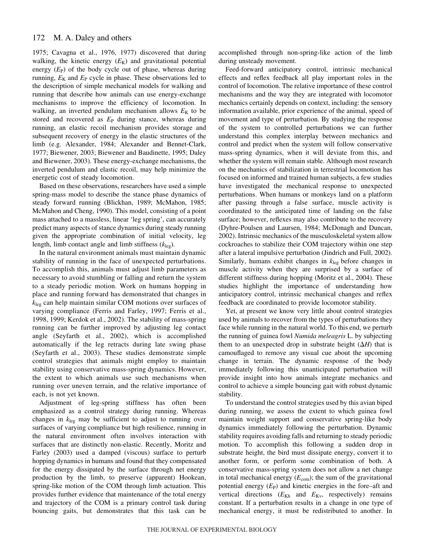1975; Cavagna et al., 1976, 1977) discovered that during walking, the kinetic energy  $(E_K)$  and gravitational potential energy  $(E_P)$  of the body cycle out of phase, whereas during running,  $E_K$  and  $E_P$  cycle in phase. These observations led to the description of simple mechanical models for walking and running that describe how animals can use energy-exchange mechanisms to improve the efficiency of locomotion. In walking, an inverted pendulum mechanism allows  $E_K$  to be stored and recovered as  $E_P$  during stance, whereas during running, an elastic recoil mechanism provides storage and subsequent recovery of energy in the elastic structures of the limb (e.g. Alexander, 1984; Alexander and Bennet-Clark, 1977; Biewener, 2003; Biewener and Baudinette, 1995; Daley and Biewener, 2003). These energy-exchange mechanisms, the inverted pendulum and elastic recoil, may help minimize the energetic cost of steady locomotion.

Based on these observations, researchers have used a simple spring-mass model to describe the stance phase dynamics of steady forward running (Blickhan, 1989; McMahon, 1985; McMahon and Cheng, 1990). This model, consisting of a point mass attached to a massless, linear 'leg spring', can accurately predict many aspects of stance dynamics during steady running given the appropriate combination of initial velocity, leg length, limb contact angle and limb stiffness  $(k_{\text{leg}})$ .

In the natural environment animals must maintain dynamic stability of running in the face of unexpected perturbations. To accomplish this, animals must adjust limb parameters as necessary to avoid stumbling or falling and return the system to a steady periodic motion. Work on humans hopping in place and running forward has demonstrated that changes in *k*leg can help maintain similar COM motions over surfaces of varying compliance (Ferris and Farley, 1997; Ferris et al., 1998, 1999; Kerdok et al., 2002). The stability of mass-spring running can be further improved by adjusting leg contact angle (Seyfarth et al., 2002), which is accomplished automatically if the leg retracts during late swing phase (Seyfarth et al., 2003). These studies demonstrate simple control strategies that animals might employ to maintain stability using conservative mass-spring dynamics. However, the extent to which animals use such mechanisms when running over uneven terrain, and the relative importance of each, is not yet known.

Adjustment of leg-spring stiffness has often been emphasized as a control strategy during running. Whereas changes in *k*leg may be sufficient to adjust to running over surfaces of varying compliance but high resilience, running in the natural environment often involves interaction with surfaces that are distinctly non-elastic. Recently, Moritz and Farley (2003) used a damped (viscous) surface to perturb hopping dynamics in humans and found that they compensated for the energy dissipated by the surface through net energy production by the limb, to preserve (apparent) Hookean, spring-like motion of the COM through limb actuation. This provides further evidence that maintenance of the total energy and trajectory of the COM is a primary control task during bouncing gaits, but demonstrates that this task can be accomplished through non-spring-like action of the limb during unsteady movement.

Feed-forward anticipatory control, intrinsic mechanical effects and reflex feedback all play important roles in the control of locomotion. The relative importance of these control mechanisms and the way they are integrated with locomotor mechanics certainly depends on context, including: the sensory information available, prior experience of the animal, speed of movement and type of perturbation. By studying the response of the system to controlled perturbations we can further understand this complex interplay between mechanics and control and predict when the system will follow conservative mass-spring dynamics, when it will deviate from this, and whether the system will remain stable. Although most research on the mechanics of stabilization in terrestrial locomotion has focused on informed and trained human subjects, a few studies have investigated the mechanical response to unexpected perturbations. When humans or monkeys land on a platform after passing through a false surface, muscle activity is coordinated to the anticipated time of landing on the false surface; however, reflexes may also contribute to the recovery (Dyhre-Poulsen and Laursen, 1984; McDonagh and Duncan, 2002). Intrinsic mechanics of the musculoskeletal system allow cockroaches to stabilize their COM trajectory within one step after a lateral impulsive perturbation (Jindrich and Full, 2002). Similarly, humans exhibit changes in *k*leg before changes in muscle activity when they are surprised by a surface of different stiffness during hopping (Moritz et al., 2004). These studies highlight the importance of understanding how anticipatory control, intrinsic mechanical changes and reflex feedback are coordinated to provide locomotor stability.

Yet, at present we know very little about control strategies used by animals to recover from the types of perturbations they face while running in the natural world. To this end, we perturb the running of guinea fowl *Numida meleagris* L. by subjecting them to an unexpected drop in substrate height  $(\Delta H)$  that is camouflaged to remove any visual cue about the upcoming change in terrain. The dynamic response of the body immediately following this unanticipated perturbation will provide insight into how animals integrate mechanics and control to achieve a simple bouncing gait with robust dynamic stability.

To understand the control strategies used by this avian biped during running, we assess the extent to which guinea fowl maintain weight support and conservative spring-like body dynamics immediately following the perturbation. Dynamic stability requires avoiding falls and returning to steady periodic motion. To accomplish this following a sudden drop in substrate height, the bird must dissipate energy, convert it to another form, or perform some combination of both. A conservative mass-spring system does not allow a net change in total mechanical energy  $(E_{\text{com}})$ ; the sum of the gravitational potential energy  $(E_P)$  and kinetic energies in the fore–aft and vertical directions  $(E_{Kh}$  and  $E_{Kv}$ , respectively) remains constant. If a perturbation results in a change in one type of mechanical energy, it must be redistributed to another. In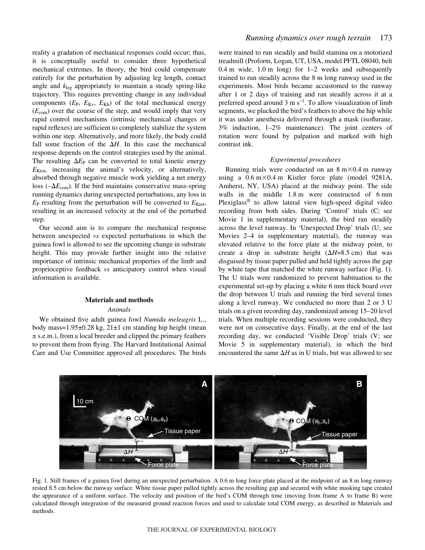reality a gradation of mechanical responses could occur; thus, it is conceptually useful to consider three hypothetical mechanical extremes. In theory, the bird could compensate entirely for the perturbation by adjusting leg length, contact angle and *k*leg appropriately to maintain a steady spring-like trajectory. This requires preventing change in any individual components (*E*<sub>P</sub>, *E*<sub>Kv</sub>, *E*<sub>Kh</sub>) of the total mechanical energy (*E*com) over the course of the step, and would imply that very rapid control mechanisms (intrinsic mechanical changes or rapid reflexes) are sufficient to completely stabilize the system within one step. Alternatively, and more likely, the body could fall some fraction of the  $\Delta H$ . In this case the mechanical response depends on the control strategies used by the animal. The resulting  $\Delta E_P$  can be converted to total kinetic energy *E*Ktot, increasing the animal's velocity, or alternatively, absorbed through negative muscle work yielding a net energy loss  $(-\Delta E_{\text{com}})$ . If the bird maintains conservative mass-spring running dynamics during unexpected perturbations, any loss in  $E_P$  resulting from the perturbation will be converted to  $E_{\text{Ktot}}$ , resulting in an increased velocity at the end of the perturbed step.

Our second aim is to compare the mechanical response between unexpected *vs* expected perturbations in which the guinea fowl is allowed to see the upcoming change in substrate height. This may provide further insight into the relative importance of intrinsic mechanical properties of the limb and proprioceptive feedback *vs* anticipatory control when visual information is available.

## **Materials and methods**

## *Animals*

We obtained five adult guinea fowl *Numida meleagris* L., body mass= $1.95\pm0.28$  kg,  $21\pm1$  cm standing hip height (mean ± s.e.m.), from a local breeder and clipped the primary feathers to prevent them from flying. The Harvard Institutional Animal Care and Use Committee approved all procedures. The birds were trained to run steadily and build stamina on a motorized treadmill (Proform, Logan, UT, USA, model PFTL 08040, belt 0.4 m wide, 1.0 m long) for  $1-2$  weeks and subsequently trained to run steadily across the 8 m long runway used in the experiments. Most birds became accustomed to the runway after 1 or 2 days of training and ran steadily across it at a preferred speed around  $3 \text{ m s}^{-1}$ . To allow visualization of limb segments, we plucked the bird's feathers to above the hip while it was under anesthesia delivered through a mask (isoflurane, 3% induction, 1–2% maintenance). The joint centers of rotation were found by palpation and marked with high contrast ink.

### *Experimental procedures*

Running trials were conducted on an  $8 \text{ m} \times 0.4 \text{ m}$  runway using a  $0.6 \text{ m} \times 0.4 \text{ m}$  Kistler force plate (model 9281A, Amherst, NY, USA) placed at the midway point. The side walls in the middle  $1.8 \text{ m}$  were constructed of 6 mm Plexiglass® to allow lateral view high-speed digital video recording from both sides. During 'Control' trials (C; see Movie 1 in supplementary material), the bird ran steadily across the level runway. In 'Unexpected Drop' trials (U; see Movies 2–4 in supplementary material), the runway was elevated relative to the force plate at the midway point, to create a drop in substrate height  $(\Delta H=8.5 \text{ cm})$  that was disguised by tissue paper pulled and held tightly across the gap by white tape that matched the white runway surface (Fig. 1). The U trials were randomized to prevent habituation to the experimental set-up by placing a white 6 mm thick board over the drop between U trials and running the bird several times along a level runway. We conducted no more than 2 or 3 U trials on a given recording day, randomized among 15–20 level trials. When multiple recording sessions were conducted, they were not on consecutive days. Finally, at the end of the last recording day, we conducted 'Visible Drop' trials (V; see Movie 5 in supplementary material), in which the bird encountered the same  $\Delta H$  as in U trials, but was allowed to see



Fig. 1. Still frames of a guinea fowl during an unexpected perturbation. A 0.6 m long force plate placed at the midpoint of an 8 m long runway rested 8.5 cm below the runway surface. White tissue paper pulled tightly across the resulting gap and secured with white masking tape created the appearance of a uniform surface. The velocity and position of the bird's COM through time (moving from frame A to frame B) were calculated through integration of the measured ground reaction forces and used to calculate total COM energy, as described in Materials and methods.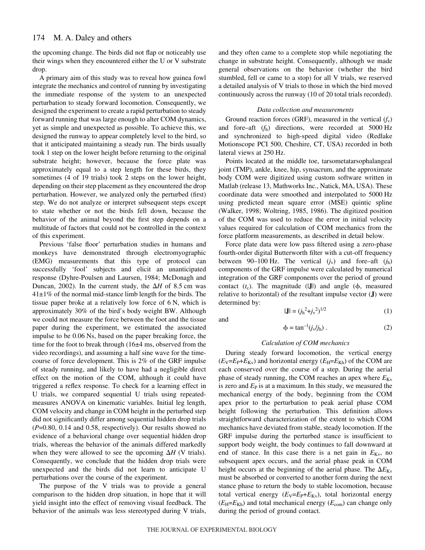the upcoming change. The birds did not flap or noticeably use their wings when they encountered either the U or V substrate drop.

A primary aim of this study was to reveal how guinea fowl integrate the mechanics and control of running by investigating the immediate response of the system to an unexpected perturbation to steady forward locomotion. Consequently, we designed the experiment to create a rapid perturbation to steady forward running that was large enough to alter COM dynamics, yet as simple and unexpected as possible. To achieve this, we designed the runway to appear completely level to the bird, so that it anticipated maintaining a steady run. The birds usually took 1 step on the lower height before returning to the original substrate height; however, because the force plate was approximately equal to a step length for these birds, they sometimes (4 of 19 trials) took 2 steps on the lower height, depending on their step placement as they encountered the drop perturbation. However, we analyzed only the perturbed (first) step. We do not analyze or interpret subsequent steps except to state whether or not the birds fell down, because the behavior of the animal beyond the first step depends on a multitude of factors that could not be controlled in the context of this experiment.

Previous 'false floor' perturbation studies in humans and monkeys have demonstrated through electromyographic (EMG) measurements that this type of protocol can successfully 'fool' subjects and elicit an unanticipated response (Dyhre-Poulsen and Laursen, 1984; McDonagh and Duncan, 2002). In the current study, the  $\Delta H$  of 8.5 cm was  $41\pm1\%$  of the normal mid-stance limb length for the birds. The tissue paper broke at a relatively low force of  $6N$ , which is approximately 30% of the bird's body weight BW. Although we could not measure the force between the foot and the tissue paper during the experiment, we estimated the associated impulse to be 0.06 Ns, based on the paper breaking force, the time for the foot to break through  $(16±4~\text{ms},$  observed from the video recordings), and assuming a half sine wave for the timecourse of force development. This is 2% of the GRF impulse of steady running, and likely to have had a negligible direct effect on the motion of the COM, although it could have triggered a reflex response. To check for a learning effect in U trials, we compared sequential U trials using repeatedmeasures ANOVA on kinematic variables. Initial leg length, COM velocity and change in COM height in the perturbed step did not significantly differ among sequential hidden drop trials (*P*=0.80, 0.14 and 0.58, respectively). Our results showed no evidence of a behavioral change over sequential hidden drop trials, whereas the behavior of the animals differed markedly when they were allowed to see the upcoming  $\Delta H$  (V trials). Consequently, we conclude that the hidden drop trials were unexpected and the birds did not learn to anticipate U perturbations over the course of the experiment.

The purpose of the V trials was to provide a general comparison to the hidden drop situation, in hope that it will yield insight into the effect of removing visual feedback. The behavior of the animals was less stereotyped during V trials, and they often came to a complete stop while negotiating the change in substrate height. Consequently, although we made general observations on the behavior (whether the bird stumbled, fell or came to a stop) for all V trials, we reserved a detailed analysis of V trials to those in which the bird moved continuously across the runway (10 of 20 total trials recorded).

## *Data collection and measurements*

Ground reaction forces (GRF), measured in the vertical  $(f_v)$ and fore–aft  $(f_h)$  directions, were recorded at 5000 Hz and synchronized to high-speed digital video (Redlake Motionscope PCI 500, Cheshire, CT, USA) recorded in both lateral views at 250 Hz.

Points located at the middle toe, tarsometatarsophalangeal joint (TMP), ankle, knee, hip, synsacrum, and the approximate body COM were digitized using custom software written in Matlab (release 13, Mathworks Inc., Natick, MA, USA). These coordinate data were smoothed and interpolated to 5000 Hz using predicted mean square error (MSE) quintic spline (Walker, 1998; Woltring, 1985, 1986). The digitized position of the COM was used to reduce the error in initial velocity values required for calculation of COM mechanics from the force platform measurements, as described in detail below.

Force plate data were low pass filtered using a zero-phase fourth-order digital Butterworth filter with a cut-off frequency between 90–100 Hz. The vertical  $(j_v)$  and fore–aft  $(j_h)$ components of the GRF impulse were calculated by numerical integration of the GRF components over the period of ground contact  $(t_c)$ . The magnitude  $(|J|)$  and angle  $(\phi)$ , measured relative to horizontal) of the resultant impulse vector (**J**) were determined by:

$$
|\mathbf{J}| = (j_h^2 + j_v^2)^{1/2} \tag{1}
$$

and

$$
\Phi = \tan^{-1}(j_v/j_h) \tag{2}
$$

## *Calculation of COM mechanics*

During steady forward locomotion, the vertical energy  $(E_V=E_P+E_{Kv})$  and horizontal energy  $(E_H=E_{Kh})$  of the COM are each conserved over the course of a step. During the aerial phase of steady running, the COM reaches an apex where  $E_{\text{Kv}}$ is zero and  $E<sub>P</sub>$  is at a maximum. In this study, we measured the mechanical energy of the body, beginning from the COM apex prior to the perturbation to peak aerial phase COM height following the perturbation. This definition allows straightforward characterization of the extent to which COM mechanics have deviated from stable, steady locomotion. If the GRF impulse during the perturbed stance is insufficient to support body weight, the body continues to fall downward at end of stance. In this case there is a net gain in  $E_{Kv}$ , no subsequent apex occurs, and the aerial phase peak in COM height occurs at the beginning of the aerial phase. The  $\Delta E_{\rm Kv}$ must be absorbed or converted to another form during the next stance phase to return the body to stable locomotion, because total vertical energy  $(E_V=E_P+E_{Kv})$ , total horizontal energy  $(E_H=E_{Kh})$  and total mechanical energy  $(E_{com})$  can change only during the period of ground contact.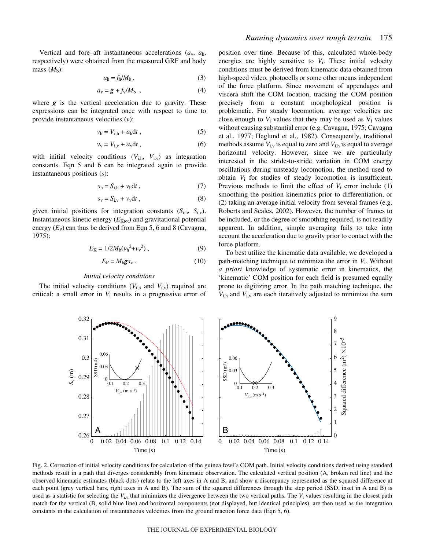Vertical and fore–aft instantaneous accelerations  $(a_v, a_h)$ , respectively) were obtained from the measured GRF and body mass  $(M<sub>b</sub>)$ :

$$
a_{\rm h} = f_{\rm h}/M_{\rm b} \,, \tag{3}
$$

$$
a_{\rm v} = \mathbf{g} + f_{\rm v}/M_{\rm b} \quad , \tag{4}
$$

where **g** is the vertical acceleration due to gravity. These expressions can be integrated once with respect to time to provide instantaneous velocities (*v*):

$$
v_{\rm h} = V_{\rm i,h} + a_{\rm h} \mathrm{d}t \,,\tag{5}
$$

$$
v_{v} = V_{i,v} + a_{v}dt, \qquad (6)
$$

with initial velocity conditions (*V*i,h, *V*i,v) as integration constants. Eqn 5 and 6 can be integrated again to provide instantaneous positions (*s*):

$$
s_{\rm h} = S_{\rm i,h} + v_{\rm h} \mathrm{d}t \,, \tag{7}
$$

$$
s_{v} = S_{i,v} + v_{v} dt , \qquad (8)
$$

given initial positions for integration constants (*S*i,h, *S*i,v). Instantaneous kinetic energy  $(E_{\text{Ktot}})$  and gravitational potential energy  $(E_P)$  can thus be derived from Eqn 5, 6 and 8 (Cavagna, 1975):

$$
E_{\rm K} = 1/2M_{\rm b}(v_{\rm h}^2 + v_{\rm v}^2) \,, \tag{9}
$$

$$
E_{\rm P} = M_{\rm b} g s_{\rm v} \ . \tag{10}
$$

#### *Initial velocity conditions*

The initial velocity conditions  $(V_{i,h}$  and  $V_{i,v}$ ) required are critical: a small error in  $V_i$  results in a progressive error of position over time. Because of this, calculated whole-body energies are highly sensitive to  $V_i$ . These initial velocity conditions must be derived from kinematic data obtained from high-speed video, photocells or some other means independent of the force platform. Since movement of appendages and viscera shift the COM location, tracking the COM position precisely from a constant morphological position is problematic. For steady locomotion, average velocities are close enough to  $V_i$  values that they may be used as  $V_i$  values without causing substantial error (e.g. Cavagna, 1975; Cavagna et al., 1977; Heglund et al., 1982). Consequently, traditional methods assume  $V_{i,v}$  is equal to zero and  $V_{i,h}$  is equal to average horizontal velocity. However, since we are particularly interested in the stride-to-stride variation in COM energy oscillations during unsteady locomotion, the method used to obtain *V*<sup>i</sup> for studies of steady locomotion is insufficient. Previous methods to limit the effect of  $V_i$  error include  $(1)$ smoothing the position kinematics prior to differentiation, or (2) taking an average initial velocity from several frames (e.g. Roberts and Scales, 2002). However, the number of frames to be included, or the degree of smoothing required, is not readily apparent. In addition, simple averaging fails to take into account the acceleration due to gravity prior to contact with the force platform.

To best utilize the kinematic data available, we developed a path-matching technique to minimize the error in *V*i. Without *a priori* knowledge of systematic error in kinematics, the 'kinematic' COM position for each field is presumed equally prone to digitizing error. In the path matching technique, the  $V_{i,h}$  and  $V_{i,v}$  are each iteratively adjusted to minimize the sum



Fig. 2. Correction of initial velocity conditions for calculation of the guinea fowl's COM path. Initial velocity conditions derived using standard methods result in a path that diverges considerably from kinematic observation. The calculated vertical position (A, broken red line) and the observed kinematic estimates (black dots) relate to the left axes in A and B, and show a discrepancy represented as the squared difference at each point (grey vertical bars, right axes in A and B). The sum of the squared differences through the step period (SSD, inset in A and B) is used as a statistic for selecting the  $V_{i,v}$  that minimizes the divergence between the two vertical paths. The  $V_i$  values resulting in the closest path match for the vertical (B, solid blue line) and horizontal components (not displayed, but identical principles), are then used as the integration constants in the calculation of instantaneous velocities from the ground reaction force data (Eqn 5, 6).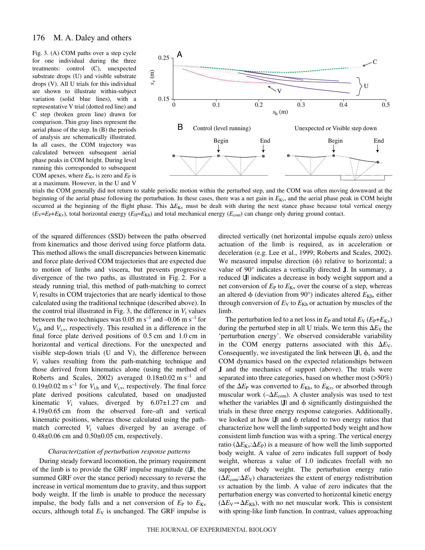Fig. 3. (A) COM paths over a step cycle for one individual during the three treatments: control (C), unexpected substrate drops (U) and visible substrate drops (V). All U trials for this individual are shown to illustrate within-subject variation (solid blue lines), with a representative V trial (dotted red line) and C step (broken green line) drawn for comparison. Thin gray lines represent the aerial phase of the step. In (B) the periods of analysis are schematically illustrated. In all cases, the COM trajectory was calculated between subsequent aerial phase peaks in COM height. During level running this corresponded to subsequent COM apexes, where  $E_{\text{Kv}}$  is zero and  $E_{\text{P}}$  is at a maximum. However, in the U and V



trials the COM generally did not return to stable periodic motion within the perturbed step, and the COM was often moving downward at the beginning of the aerial phase following the perturbation. In these cases, there was a net gain in  $E_{Kv}$ , and the aerial phase peak in COM height occurred at the beginning of the flight phase. This  $\Delta E_{Kv}$  must be dealt with during the next stance phase because total vertical energy  $(E_V=E_P+E_{Kv})$ , total horizontal energy  $(E_H=E_{Kh})$  and total mechanical energy  $(E_{com})$  can change only during ground contact.

of the squared differences (SSD) between the paths observed from kinematics and those derived using force platform data. This method allows the small discrepancies between kinematic and force plate derived COM trajectories that are expected due to motion of limbs and viscera, but prevents progressive divergence of the two paths, as illustrated in Fig. 2. For a steady running trial, this method of path-matching to correct *V*<sup>i</sup> results in COM trajectories that are nearly identical to those calculated using the traditional technique (described above). In the control trial illustrated in Fig. 3, the difference in  $V_i$  values between the two techniques was 0.05 m s<sup>-1</sup> and  $-0.06$  m s<sup>-1</sup> for *V*i,h and *V*i,v, respectively. This resulted in a difference in the final force plate derived positions of  $0.5 \text{ cm}$  and  $1.0 \text{ cm}$  in horizontal and vertical directions. For the unexpected and visible step-down trials (U and V), the difference between *V*<sup>i</sup> values resulting from the path-matching technique and those derived from kinematics alone (using the method of Roberts and Scales, 2002) averaged  $0.18\pm0.02$  m s<sup>-1</sup> and 0.19 $\pm$ 0.02 m s<sup>-1</sup> for  $V_{i,h}$  and  $V_{i,v}$ , respectively. The final force plate derived positions calculated, based on unadjusted kinematic  $V_i$  values, diverged by  $6.07 \pm 1.27$  cm and  $4.19\pm0.65$  cm from the observed fore–aft and vertical kinematic positions, whereas those calculated using the pathmatch corrected *V*<sup>i</sup> values diverged by an average of  $0.48\pm0.06$  cm and  $0.50\pm0.05$  cm, respectively.

## *Characterization of perturbation response patterns*

During steady forward locomotion, the primary requirement of the limb is to provide the GRF impulse magnitude (|**J**|, the summed GRF over the stance period) necessary to reverse the increase in vertical momentum due to gravity, and thus support body weight. If the limb is unable to produce the necessary impulse, the body falls and a net conversion of  $E_P$  to  $E_{Kv}$ occurs, although total  $E_V$  is unchanged. The GRF impulse is directed vertically (net horizontal impulse equals zero) unless actuation of the limb is required, as in acceleration or deceleration (e.g. Lee et al., 1999; Roberts and Scales, 2002). We measured impulse direction  $(\phi)$  relative to horizontal; a value of 90° indicates a vertically directed **J**. In summary, a reduced |**J**| indicates a decrease in body weight support and a net conversion of  $E_P$  to  $E_{Kv}$  over the course of a step, whereas an altered  $\phi$  (deviation from 90 $^{\circ}$ ) indicates altered  $E_{\text{Kh}}$ , either through conversion of  $E_V$  to  $E_{Kh}$  or actuation by muscles of the limb.

The perturbation led to a net loss in  $E_P$  and total  $E_V$  ( $E_P + E_{K_V}$ ) during the perturbed step in all U trials. We term this  $\Delta E_{V}$  the 'perturbation energy'. We observed considerable variability in the COM energy patterns associated with this  $\Delta E_{\rm V}$ . Consequently, we investigated the link between  $|J|$ ,  $\phi$ , and the COM dynamics based on the expected relationships between **J** and the mechanics of support (above). The trials were separated into three categories, based on whether most (>50%) of the  $\Delta E_{\rm P}$  was converted to  $E_{\rm Kh}$ , to  $E_{\rm Kv}$ , or absorbed through muscular work  $(-\Delta E_{\text{com}})$ . A cluster analysis was used to test whether the variables  $|J|$  and  $\phi$  significantly distinguished the trials in these three energy response categories. Additionally, we looked at how  $|J|$  and  $\phi$  related to two energy ratios that characterize how well the limb supported body weight and how consistent limb function was with a spring. The vertical energy ratio ( $\Delta E_{\text{Kv}}$ : $\Delta E_{\text{P}}$ ) is a measure of how well the limb supported body weight. A value of zero indicates full support of body weight, whereas a value of 1.0 indicates freefall with no support of body weight. The perturbation energy ratio  $(\Delta E_{\text{com}}:\Delta E_{\text{V}})$  characterizes the extent of energy redistribution *vs* actuation by the limb. A value of zero indicates that the perturbation energy was converted to horizontal kinetic energy  $(\Delta E_V \rightarrow \Delta E_{Kh})$ , with no net muscular work. This is consistent with spring-like limb function. In contrast, values approaching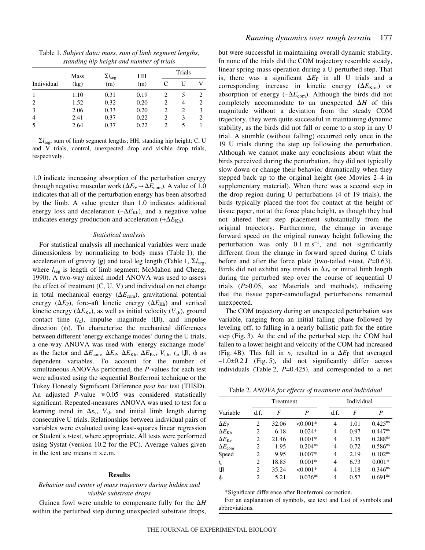Table 1. *Subject data: mass, sum of limb segment lengths, standing hip height and number of trials*

|                | Mass | $\Sigma l_{\rm seg}$<br>(m) | HH<br>(m) | Trials                      |   |   |  |
|----------------|------|-----------------------------|-----------|-----------------------------|---|---|--|
| Individual     | (kg) |                             |           | C                           | U |   |  |
|                | 1.10 | 0.31                        | 0.19      |                             | 5 | 2 |  |
| 2              | 1.52 | 0.32                        | 0.20      | 2                           | 4 | 2 |  |
| 3              | 2.06 | 0.33                        | 0.20      | 2                           | 2 | 3 |  |
| $\overline{4}$ | 2.41 | 0.37                        | 0.22      | $\mathfrak{D}$              | 3 | 2 |  |
| 5              | 2.64 | 0.37                        | 0.22      | $\mathcal{D}_{\mathcal{A}}$ |   |   |  |

 $\Sigma l<sub>see</sub>$ , sum of limb segment lengths; HH, standing hip height; C, U and V trials, control, unexpected drop and visible drop trials, respectively.

1.0 indicate increasing absorption of the perturbation energy through negative muscular work ( $\Delta E_V \rightarrow \Delta E_{com}$ ). A value of 1.0 indicates that all of the perturbation energy has been absorbed by the limb. A value greater than 1.0 indicates additional energy loss and deceleration  $(-\Delta E_{Kh})$ , and a negative value indicates energy production and acceleration  $(+\Delta E_{\text{Kh}})$ .

#### *Statistical analysis*

For statistical analysis all mechanical variables were made dimensionless by normalizing to body mass (Table 1), the acceleration of gravity (*g*) and total leg length (Table 1,  $\Sigma l_{\text{see}}$ , where  $l_{\text{seg}}$  is length of limb segment; McMahon and Cheng, 1990). A two-way mixed model ANOVA was used to assess the effect of treatment (C, U, V) and individual on net change in total mechanical energy  $(\Delta E_{\text{com}})$ , gravitational potential energy ( $\Delta E_{\rm P}$ ), fore–aft kinetic energy ( $\Delta E_{\rm Kh}$ ) and vertical kinetic energy ( $\Delta E_{\text{Kv}}$ ), as well as initial velocity ( $V_{i,h}$ ), ground contact time  $(t_c)$ , impulse magnitude  $(|J|)$ , and impulse direction  $(\phi)$ . To characterize the mechanical differences between different 'energy exchange modes' during the U trials, a one-way ANOVA was used with 'energy exchange mode' as the factor and  $\Delta E_{\text{com}}$ ,  $\Delta E_{\text{P}}$ ,  $\Delta E_{\text{Kh}}$ ,  $\Delta E_{\text{Kv}}$ ,  $V_{i,h}$ ,  $t_c$ ,  $|\mathbf{J}|$ ,  $\phi$  as dependent variables. To account for the number of simultaneous ANOVAs performed, the *P*-values for each test were adjusted using the sequential Bonferroni technique or the Tukey Honestly Significant Difference *post hoc* test (THSD). An adjusted  $P$ -value  $\leq 0.05$  was considered statistically significant. Repeated-measures ANOVA was used to test for a learning trend in  $\Delta s_v$ ,  $V_{i,h}$  and initial limb length during consecutive U trials. Relationships between individual pairs of variables were evaluated using least-squares linear regression or Student's *t*-test, where appropriate. All tests were performed using Systat (version 10.2 for the PC). Average values given in the text are means  $\pm$  s.e.m.

#### **Results**

## *Behavior and center of mass trajectory during hidden and visible substrate drops*

Guinea fowl were unable to compensate fully for the  $\Delta H$ within the perturbed step during unexpected substrate drops, but were successful in maintaining overall dynamic stability. In none of the trials did the COM trajectory resemble steady, linear spring-mass operation during a U perturbed step. That is, there was a significant  $\Delta E_P$  in all U trials and a corresponding increase in kinetic energy  $(\Delta E_{\text{Ktot}})$  or absorption of energy  $(-\Delta E_{\text{com}})$ . Although the birds did not completely accommodate to an unexpected  $\Delta H$  of this magnitude without a deviation from the steady COM trajectory, they were quite successful in maintaining dynamic stability, as the birds did not fall or come to a stop in any U trial. A stumble (without falling) occurred only once in the 19 U trials during the step up following the perturbation. Although we cannot make any conclusions about what the birds perceived during the perturbation, they did not typically slow down or change their behavior dramatically when they stepped back up to the original height (see Movies 2–4 in supplementary material). When there was a second step in the drop region during U perturbations (4 of 19 trials), the birds typically placed the foot for contact at the height of tissue paper, not at the force plate height, as though they had not altered their step placement substantially from the original trajectory. Furthermore, the change in average forward speed on the original runway height following the perturbation was only  $0.1 \text{ m s}^{-1}$ , and not significantly different from the change in forward speed during C trials before and after the force plate (two-tailed *t*-test, *P*=0.63). Birds did not exhibit any trends in  $\Delta s_{v}$  or initial limb length during the perturbed step over the course of sequential U trials (*P*>0.05, see Materials and methods), indicating that the tissue paper-camouflaged perturbations remained unexpected.

The COM trajectory during an unexpected perturbation was variable, ranging from an initial falling phase followed by leveling off, to falling in a nearly ballistic path for the entire step (Fig. 3). At the end of the perturbed step, the COM had fallen to a lower height and velocity of the COM had increased (Fig. 4B). This fall in  $s_v$  resulted in a  $\Delta E_P$  that averaged  $-1.0\pm0.2$  J (Fig. 5), did not significantly differ across individuals (Table 2,  $P=0.425$ ), and corresponded to a net

Table 2. *ANOVA for effects of treatment and individual* 

|                      |                | Treatment |              | Individual |      |                     |  |
|----------------------|----------------|-----------|--------------|------------|------|---------------------|--|
| Variable             | d.f.           | F         | P            | d.f.       | F    | P                   |  |
| $\Delta E_P$         | 2              | 32.06     | $< 0.001*$   | 4          | 1.01 | $0.425^{ns}$        |  |
| $\Delta E_{\rm Kh}$  | 2              | 6.18      | $0.024*$     | 4          | 0.97 | $0.447^{ns}$        |  |
| $\Delta E_{\rm Kv}$  | 2              | 21.46     | $0.001*$     | 4          | 1.35 | 0.288 <sup>ns</sup> |  |
| $\Delta E_{\rm com}$ | 2              | 1.95      | $0.204^{ns}$ | 4          | 0.72 | $0.586^{ns}$        |  |
| Speed                | 2              | 9.95      | $0.007*$     | 4          | 2.19 | $0.102^{ns}$        |  |
| $t_c$                | 2              | 18.85     | $0.001*$     | 4          | 6.73 | $0.001*$            |  |
| IJ                   | $\overline{c}$ | 35.24     | $< 0.001*$   | 4          | 1.18 | $0.346^{ns}$        |  |
| $\phi$               | $\overline{c}$ | 5.21      | $0.036^{ns}$ | 4          | 0.57 | $0.691^{ns}$        |  |

\*Significant difference after Bonferroni correction.

For an explanation of symbols, see text and List of symbols and abbreviations.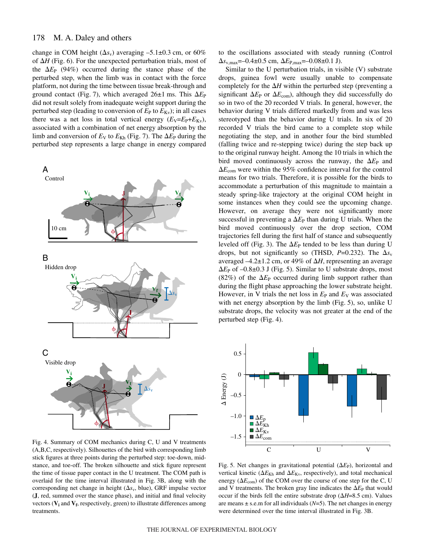change in COM height  $(\Delta s_v)$  averaging  $-5.1\pm0.3$  cm, or 60% of  $\Delta H$  (Fig. 6). For the unexpected perturbation trials, most of the  $\Delta E_{\rm P}$  (94%) occurred during the stance phase of the perturbed step, when the limb was in contact with the force platform, not during the time between tissue break-through and ground contact (Fig. 7), which averaged  $26\pm 1$  ms. This  $\Delta E_{\rm P}$ did not result solely from inadequate weight support during the perturbed step (leading to conversion of  $E_P$  to  $E_{Kv}$ ); in all cases there was a net loss in total vertical energy  $(E_V=E_P+E_{Kv})$ , associated with a combination of net energy absorption by the limb and conversion of  $E_V$  to  $E_{Kh}$  (Fig. 7). The  $\Delta E_P$  during the perturbed step represents a large change in energy compared



Fig. 4. Summary of COM mechanics during C, U and V treatments (A,B,C, respectively). Silhouettes of the bird with corresponding limb stick figures at three points during the perturbed step: toe-down, midstance, and toe-off. The broken silhouette and stick figure represent the time of tissue paper contact in the U treatment. The COM path is overlaid for the time interval illustrated in Fig. 3B, along with the corresponding net change in height  $(\Delta s_v,$  blue), GRF impulse vector (**J**, red, summed over the stance phase), and initial and final velocity vectors  $(V_i$  and  $V_f$ , respectively, green) to illustrate differences among treatments.

to the oscillations associated with steady running (Control  $\Delta s_{v, \text{max}}$ =–0.4±0.5 cm,  $\Delta E_{P, \text{max}}$ =–0.08±0.1 J).

Similar to the U perturbation trials, in visible (V) substrate drops, guinea fowl were usually unable to compensate completely for the  $\Delta H$  within the perturbed step (preventing a significant  $\Delta E_{\rm P}$  or  $\Delta E_{\rm com}$ ), although they did successfully do so in two of the 20 recorded V trials. In general, however, the behavior during V trials differed markedly from and was less stereotyped than the behavior during U trials. In six of 20 recorded V trials the bird came to a complete stop while negotiating the step, and in another four the bird stumbled (falling twice and re-stepping twice) during the step back up to the original runway height. Among the 10 trials in which the bird moved continuously across the runway, the  $\Delta E_{\rm P}$  and  $\Delta E_{\text{com}}$  were within the 95% confidence interval for the control means for two trials. Therefore, it is possible for the birds to accommodate a perturbation of this magnitude to maintain a steady spring-like trajectory at the original COM height in some instances when they could see the upcoming change. However, on average they were not significantly more successful in preventing a  $\Delta E_P$  than during U trials. When the bird moved continuously over the drop section, COM trajectories fell during the first half of stance and subsequently leveled off (Fig. 3). The  $\Delta E_{\rm P}$  tended to be less than during U drops, but not significantly so (THSD,  $P=0.232$ ). The  $\Delta s_{v}$ averaged  $-4.2 \pm 1.2$  cm, or 49% of  $\Delta H$ , representing an average  $\Delta E_{\rm P}$  of  $-0.8\pm0.3$  J (Fig. 5). Similar to U substrate drops, most  $(82%)$  of the  $\Delta E_P$  occurred during limb support rather than during the flight phase approaching the lower substrate height. However, in V trials the net loss in  $E_P$  and  $E_V$  was associated with net energy absorption by the limb (Fig.  $5$ ), so, unlike U substrate drops, the velocity was not greater at the end of the perturbed step (Fig. 4).



Fig. 5. Net changes in gravitational potential  $(\Delta E_{\rm P})$ , horizontal and vertical kinetic ( $\Delta E_{\text{Kh}}$  and  $\Delta E_{\text{Kv}}$ , respectively), and total mechanical energy  $(\Delta E_{\text{com}})$  of the COM over the course of one step for the C, U and V treatments. The broken gray line indicates the  $\Delta E_{\rm P}$  that would occur if the birds fell the entire substrate drop  $(\Delta H=8.5 \text{ cm})$ . Values are means  $\pm$  s.e.m for all individuals ( $N=5$ ). The net changes in energy were determined over the time interval illustrated in Fig. 3B.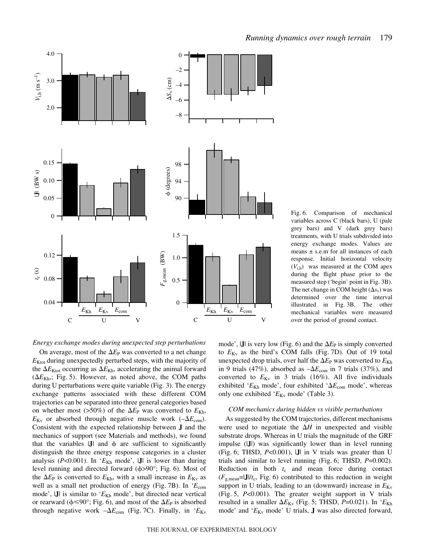

*Energy exchange modes during unexpected step perturbations*

On average, most of the  $\Delta E_{\rm P}$  was converted to a net change *E*Ktot during unexpectedly perturbed steps, with the majority of the  $\Delta E_{\text{Ktot}}$  occurring as  $\Delta E_{\text{Kh}}$ , accelerating the animal forward  $(\Delta E_{\text{Kh}};$  Fig. 5). However, as noted above, the COM paths during U perturbations were quite variable (Fig. 3). The energy exchange patterns associated with these different COM trajectories can be separated into three general categories based on whether most ( $>50\%$ ) of the  $\Delta E_{\rm P}$  was converted to  $E_{\rm Kh}$ ,  $E_{\text{Kv}}$  or absorbed through negative muscle work  $(-\Delta E_{\text{com}})$ . Consistent with the expected relationship between **J** and the mechanics of support (see Materials and methods), we found that the variables  $|J|$  and  $\phi$  are sufficient to significantly distinguish the three energy response categories in a cluster analysis ( $P$ <0.001). In ' $E_{Kh}$  mode',  $|J|$  is lower than during level running and directed forward  $(\phi > 90^\circ;$  Fig. 6). Most of the  $\Delta E_{\rm P}$  is converted to  $E_{\rm Kh}$ , with a small increase in  $E_{\rm Kv}$  as well as a small net production of energy (Fig. 7B). In '*E*<sub>com</sub> mode',  $|\mathbf{J}|$  is similar to ' $E_{\text{Kh}}$  mode', but directed near vertical or rearward ( $\phi \le 90^\circ$ ; Fig. 6), and most of the  $\Delta E_P$  is absorbed through negative work  $-\Delta E_{\text{com}}$  (Fig. 7C). Finally, in ' $E_{\text{Kv}}$ 

mode',  $|\mathbf{J}|$  is very low (Fig. 6) and the  $\Delta E_{\text{P}}$  is simply converted to  $E_{\text{Kv}}$  as the bird's COM falls (Fig. 7D). Out of 19 total unexpected drop trials, over half the  $\Delta E_{\rm P}$  was converted to  $E_{\rm Kh}$ in 9 trials (47%), absorbed as  $-\Delta E_{\text{com}}$  in 7 trials (37%), and converted to  $E_{\text{Kv}}$  in 3 trials (16%). All five individuals exhibited ' $E_{\text{Kh}}$  mode', four exhibited ' $\Delta E_{\text{com}}$  mode', whereas only one exhibited ' $E_{Kv}$  mode' (Table 3).

### *COM mechanics during hidden vs visible perturbations*

As suggested by the COM trajectories, different mechanisms were used to negotiate the  $\Delta H$  in unexpected and visible substrate drops. Whereas in U trials the magnitude of the GRF impulse (|**J**|) was significantly lower than in level running (Fig. 6; THSD,  $P<0.001$ ),  $|J|$  in V trials was greater than U trials and similar to level running (Fig. 6; THSD, *P*=0.002). Reduction in both  $t_c$  and mean force during contact  $(F_{\text{g,mean}} = |J|/t_c$ , Fig. 6) contributed to this reduction in weight support in U trials, leading to an (downward) increase in  $E_{Kv}$ (Fig. 5,  $P<0.001$ ). The greater weight support in V trials resulted in a smaller  $\Delta E_{\rm Kv}$  (Fig. 5; THSD, *P*=0.021). In ' $E_{\rm Kh}$ mode' and ' $E_{Kv}$  mode' U trials, **J** was also directed forward,

Fig. 6. Comparison of mechanical variables across C (black bars), U (pale grey bars) and V (dark grey bars) treatments, with U trials subdivided into energy exchange modes. Values are means ± s.e.m for all instances of each response. Initial horizontal velocity (*V*i,h) was measured at the COM apex during the flight phase prior to the measured step ('begin' point in Fig. 3B). The net change in COM height  $(\Delta s_v)$  was determined over the time interval illustrated in Fig. 3B. The other mechanical variables were measured over the period of ground contact.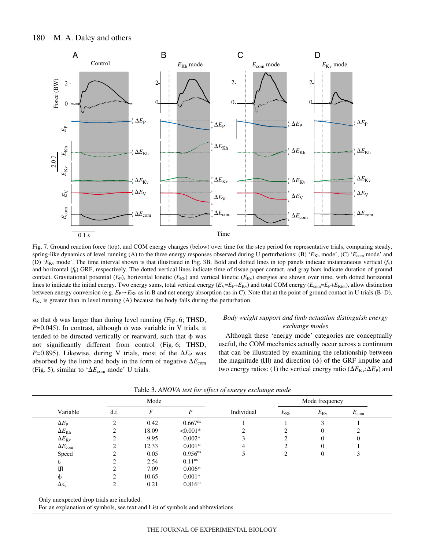

Fig. 7. Ground reaction force (top), and COM energy changes (below) over time for the step period for representative trials, comparing steady, spring-like dynamics of level running (A) to the three energy responses observed during U perturbations: (B) ' $E_{\text{Kh}}$  mode', (C) ' $E_{\text{com}}$  mode' and (D) ' $E_{Kv}$  mode'. The time interval shown is that illustrated in Fig. 3B. Bold and dotted lines in top panels indicate instantaneous vertical  $(f_v)$ and horizontal ( $f<sub>h</sub>$ ) GRF, respectively. The dotted vertical lines indicate time of tissue paper contact, and gray bars indicate duration of ground contact. Gravitational potential ( $E_P$ ), horizontal kinetic ( $E_{Kh}$ ) and vertical kinetic ( $E_{Kv}$ ) energies are shown over time, with dotted horizontal lines to indicate the initial energy. Two energy sums, total vertical energy  $(E_V = E_P + E_{Kv})$  and total COM energy  $(E_{com} = E_P + E_{Kv})$ , allow distinction between energy conversion (e.g.  $E_P \rightarrow E_{Kh}$  as in B and net energy absorption (as in C). Note that at the point of ground contact in U trials (B–D),  $E_{\text{Kv}}$  is greater than in level running (A) because the body falls during the perturbation.

so that  $\phi$  was larger than during level running (Fig. 6; THSD, *P*=0.045). In contrast, although  $\phi$  was variable in V trials, it tended to be directed vertically or rearward, such that  $\phi$  was not significantly different from control (Fig. 6; THSD, *P*=0.895). Likewise, during V trials, most of the  $\Delta E_{\rm P}$  was absorbed by the limb and body in the form of negative  $\Delta E_{\text{com}}$ (Fig. 5), similar to ' $\Delta E_{\text{com}}$  mode' U trials.

## *Body weight support and limb actuation distinguish energy exchange modes*

Although these 'energy mode' categories are conceptually useful, the COM mechanics actually occur across a continuum that can be illustrated by examining the relationship between the magnitude  $(|J|)$  and direction  $(\phi)$  of the GRF impulse and two energy ratios: (1) the vertical energy ratio ( $\Delta E_{\text{Kv}}:\Delta E_{\text{P}}$ ) and

|                      | Mode |       |                    |            | Mode frequency |                |               |  |
|----------------------|------|-------|--------------------|------------|----------------|----------------|---------------|--|
| Variable             | d.f. | F     | D                  | Individual | $E_{\rm Kh}$   | $E_{\rm Kv}$   | $E_{\rm com}$ |  |
| $\Delta E_{\rm P}$   | ◠    | 0.42  | $0.667^{ns}$       |            |                | 3              |               |  |
| $\Delta E_{\rm Kh}$  |      | 18.09 | $< 0.001*$         |            |                | $\overline{0}$ |               |  |
| $\Delta E_{\rm Kv}$  |      | 9.95  | $0.002*$           | 3          |                | $\Omega$       | $\theta$      |  |
| $\Delta E_{\rm com}$ |      | 12.33 | $0.001*$           | 4          |                | $\Omega$       |               |  |
| Speed                |      | 0.05  | $0.956^{ns}$       |            |                | $\overline{0}$ |               |  |
| $t_{\rm c}$          |      | 2.54  | 0.11 <sup>ns</sup> |            |                |                |               |  |
| IJ                   |      | 7.09  | $0.006*$           |            |                |                |               |  |
| Φ                    |      | 10.65 | $0.001*$           |            |                |                |               |  |
| $\Delta s_{v}$       |      | 0.21  | $0.816^{ns}$       |            |                |                |               |  |

Table 3. *ANOVA test for effect of energy exchange mode* 

Only unexpected drop trials are included.

For an explanation of symbols, see text and List of symbols and abbreviations.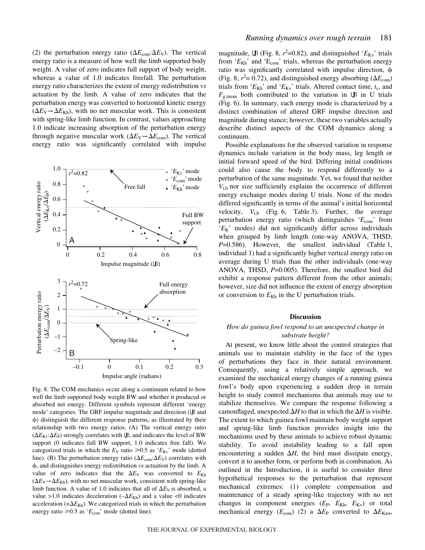(2) the perturbation energy ratio ( $\Delta E_{\text{com}}:\Delta E_{\text{V}}$ ). The vertical energy ratio is a measure of how well the limb supported body weight. A value of zero indicates full support of body weight, whereas a value of 1.0 indicates freefall. The perturbation energy ratio characterizes the extent of energy redistribution *vs* actuation by the limb. A value of zero indicates that the perturbation energy was converted to horizontal kinetic energy  $(\Delta E_V \rightarrow \Delta E_{Kh})$ , with no net muscular work. This is consistent with spring-like limb function. In contrast, values approaching 1.0 indicate increasing absorption of the perturbation energy through negative muscular work  $(\Delta E_V \rightarrow \Delta E_{\text{com}})$ . The vertical energy ratio was significantly correlated with impulse



Fig. 8. The COM mechanics occur along a continuum related to how well the limb supported body weight BW and whether it produced or absorbed net energy. Different symbols represent different 'energy mode' categories. The GRF impulse magnitude and direction (|**J**| and ) distinguish the different response patterns, as illustrated by their relationship with two energy ratios. (A) The vertical energy ratio  $(\Delta E_{\text{Kv}}:\Delta E_{\text{P}})$  strongly correlates with  $|J|$ , and indicates the level of BW support (0 indicates full BW support, 1.0 indicates free fall). We categorized trials in which the  $E_V$  ratio  $\geq 0.5$  as ' $E_{Kv}$ ' mode (dotted line). (B) The perturbation energy ratio ( $\Delta E_{\text{com}}:\Delta E_{\text{V}}$ ) correlates with , and distinguishes energy redistribution *vs* actuation by the limb. A value of zero indicates that the  $\Delta E_{\rm V}$  was converted to  $E_{\rm Kh}$  $(\Delta E_V \rightarrow \Delta E_{Kh})$ , with no net muscular work, consistent with spring-like limb function. A value of 1.0 indicates that all of  $\Delta E_{\rm V}$  is absorbed, a value >1.0 indicates deceleration  $(-\Delta E_{\text{Kh}})$  and a value <0 indicates acceleration  $(+\Delta E_{\text{Kh}})$ . We categorized trials in which the perturbation energy ratio  $\geq 0.5$  as ' $E_{com}$ ' mode (dotted line).

magnitude,  $|J|$  (Fig. 8,  $r^2$ =0.82), and distinguished ' $E_{Kv}$ ' trials from ' $E_{\text{Kh}}$ ' and ' $E_{\text{com}}$ ' trials, whereas the perturbation energy ratio was significantly correlated with impulse direction, (Fig. 8;  $r^2 = 0.72$ ), and distinguished energy absorbing ( $\Delta E_{\text{com}}$ ) trials from ' $E_{\text{Kh}}$ ' and ' $E_{\text{Kv}}$ ' trials. Altered contact time,  $t_c$ , and  $F_{\text{g,mean}}$  both contributed to the variation in  $|J|$  in U trials (Fig. 6). In summary, each energy mode is characterized by a distinct combination of altered GRF impulse direction and magnitude during stance; however, these two variables actually describe distinct aspects of the COM dynamics along a continuum.

Possible explanations for the observed variation in response dynamics include variation in the body mass, leg length or initial forward speed of the bird. Differing initial conditions could also cause the body to respond differently to a perturbation of the same magnitude. Yet, we found that neither  $V_{i,h}$  nor size sufficiently explains the occurrence of different energy exchange modes during U trials. None of the modes differed significantly in terms of the animal's initial horizontal velocity,  $V_{i,h}$  (Fig. 6, Table 3). Further, the average perturbation energy ratio (which distinguishes '*E*com' from 'E<sub>K</sub>' modes) did not significantly differ across individuals when grouped by limb length (one-way ANOVA, THSD, *P*=0.586). However, the smallest individual (Table 1, individual 1) had a significantly higher vertical energy ratio on average during U trials than the other individuals (one-way ANOVA, THSD, *P*=0.005). Therefore, the smallest bird did exhibit a response pattern different from the other animals; however, size did not influence the extent of energy absorption or conversion to  $E_{\text{Kh}}$  in the U perturbation trials.

### **Discussion**

## *How do guinea fowl respond to an unexpected change in substrate height?*

At present, we know little about the control strategies that animals use to maintain stability in the face of the types of perturbations they face in their natural environment. Consequently, using a relatively simple approach, we examined the mechanical energy changes of a running guinea fowl's body upon experiencing a sudden drop in terrain height to study control mechanisms that animals may use to stabilize themselves. We compare the response following a camouflaged, unexpected  $\Delta H$  to that in which the  $\Delta H$  is visible. The extent to which guinea fowl maintain body weight support and spring-like limb function provides insight into the mechanisms used by these animals to achieve robust dynamic stability. To avoid instability leading to a fall upon encountering a sudden  $\Delta H$ , the bird must dissipate energy, convert it to another form, or perform both in combination. As outlined in the Introduction, it is useful to consider three hypothetical responses to the perturbation that represent mechanical extremes: (1) complete compensation and maintenance of a steady spring-like trajectory with no net changes in component energies (*E*<sub>P</sub>, *E*<sub>Kh</sub>, *E*<sub>Kv</sub>) or total mechanical energy  $(E_{com})$  (2) a  $\Delta E_{P}$  converted to  $\Delta E_{Ktot}$ ,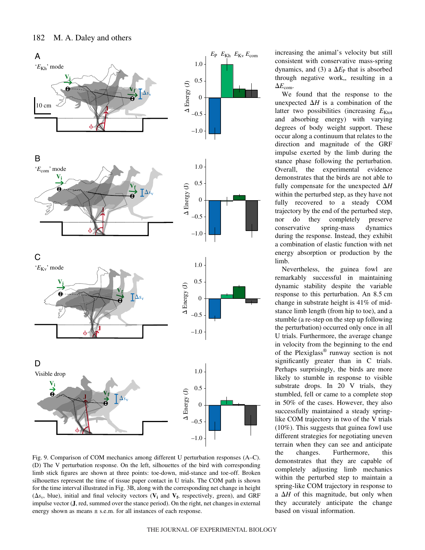

Fig. 9. Comparison of COM mechanics among different U perturbation responses (A–C). (D) The V perturbation response. On the left, silhouettes of the bird with corresponding limb stick figures are shown at three points: toe-down, mid-stance and toe-off. Broken silhouettes represent the time of tissue paper contact in U trials. The COM path is shown for the time interval illustrated in Fig. 3B, along with the corresponding net change in height  $(\Delta s_v, \text{ blue})$ , initial and final velocity vectors ( $V_i$  and  $V_f$ , respectively, green), and GRF impulse vector (**J**, red, summed over the stance period). On the right, net changes in external energy shown as means  $\pm$  s.e.m. for all instances of each response.

increasing the animal's velocity but still consistent with conservative mass-spring dynamics, and (3) a  $\Delta E_P$  that is absorbed through negative work,, resulting in a  $\Delta E_{\text{com}}$ .

We found that the response to the unexpected  $\Delta H$  is a combination of the latter two possibilities (increasing  $E_{\text{Ktot}}$ and absorbing energy) with varying degrees of body weight support. These occur along a continuum that relates to the direction and magnitude of the GRF impulse exerted by the limb during the stance phase following the perturbation. Overall, the experimental evidence demonstrates that the birds are not able to fully compensate for the unexpected  $\Delta H$ within the perturbed step, as they have not fully recovered to a steady COM trajectory by the end of the perturbed step, nor do they completely preserve conservative spring-mass dynamics during the response. Instead, they exhibit a combination of elastic function with net energy absorption or production by the limb.

Nevertheless, the guinea fowl are remarkably successful in maintaining dynamic stability despite the variable response to this perturbation. An 8.5 cm change in substrate height is 41% of midstance limb length (from hip to toe), and a stumble (a re-step on the step up following the perturbation) occurred only once in all U trials. Furthermore, the average change in velocity from the beginning to the end of the Plexiglass® runway section is not significantly greater than in C trials. Perhaps surprisingly, the birds are more likely to stumble in response to visible substrate drops. In 20 V trials, they stumbled, fell or came to a complete stop in 50% of the cases. However, they also successfully maintained a steady springlike COM trajectory in two of the V trials (10%). This suggests that guinea fowl use different strategies for negotiating uneven terrain when they can see and anticipate the changes. Furthermore, this demonstrates that they are capable of completely adjusting limb mechanics within the perturbed step to maintain a spring-like COM trajectory in response to a  $\Delta H$  of this magnitude, but only when they accurately anticipate the change based on visual information.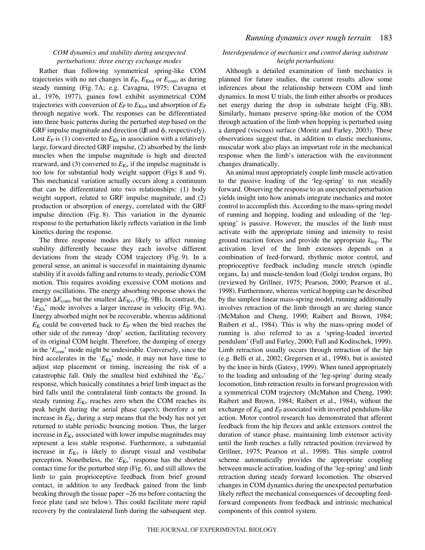## *COM dynamics and stability during unexpected perturbations: three energy exchange modes*

Rather than following symmetrical spring-like COM trajectories with no net changes in  $E_{P}$ ,  $E_{\text{Ktot}}$  or  $E_{\text{com}}$ , as during steady running (Fig. 7A; e.g. Cavagna, 1975; Cavagna et al., 1976, 1977), guinea fowl exhibit asymmetrical COM trajectories with conversion of  $E_P$  to  $E_{\text{Ktot}}$  and absorption of  $E_P$ through negative work. The responses can be differentiated into three basic patterns during the perturbed step based on the GRF impulse magnitude and direction  $(|J|$  and  $\phi$ , respectively). Lost  $E_P$  is (1) converted to  $E_{Kh}$  in association with a relatively large, forward directed GRF impulse, (2) absorbed by the limb muscles when the impulse magnitude is high and directed rearward, and (3) converted to  $E_{Kv}$  if the impulse magnitude is too low for substantial body weight support (Figs 8 and 9). This mechanical variation actually occurs along a continuum that can be differentiated into two relationships: (1) body weight support, related to GRF impulse magnitude, and (2) production or absorption of energy, correlated with the GRF impulse direction (Fig. 8). This variation in the dynamic response to the perturbation likely reflects variation in the limb kinetics during the response.

The three response modes are likely to affect running stability differently because they each involve different deviations from the steady COM trajectory (Fig. 9). In a general sense, an animal is successful in maintaining dynamic stability if it avoids falling and returns to steady, periodic COM motion. This requires avoiding excessive COM motions and energy oscillations. The energy absorbing response shows the largest  $\Delta E_{\rm com}$ , but the smallest  $\Delta E_{\rm Kv}$ , (Fig. 9B). In contrast, the '*E*<sub>Kh</sub>' mode involves a larger increase in velocity (Fig. 9A). Energy absorbed might not be recoverable, whereas additional  $E_K$  could be converted back to  $E_F$  when the bird reaches the other side of the runway 'drop' section, facilitating recovery of its original COM height. Therefore, the dumping of energy in the '*E*com' mode might be undesirable. Conversely, since the bird accelerates in the ' $E_{Kh}$ ' mode, it may not have time to adjust step placement or timing, increasing the risk of a catastrophic fall. Only the smallest bird exhibited the ' $E_{Kv}$ ' response, which basically constitutes a brief limb impact as the bird falls until the contralateral limb contacts the ground. In steady running  $E_{Kv}$  reaches zero when the COM reaches its peak height during the aerial phase (apex); therefore a net increase in  $E_{Kv}$  during a step means that the body has not yet returned to stable periodic bouncing motion. Thus, the larger increase in  $E_{\text{Kv}}$  associated with lower impulse magnitudes may represent a less stable response. Furthermore, a substantial increase in  $E_{Kv}$  is likely to disrupt visual and vestibular perception. Nonetheless, the '*E*<sub>Kv</sub>' response has the shortest contact time for the perturbed step (Fig. 6), and still allows the limb to gain proprioceptive feedback from brief ground contact, in addition to any feedback gained from the limb breaking through the tissue paper  $\sim$  26 ms before contacting the force plate (and see below). This could facilitate more rapid recovery by the contralateral limb during the subsequent step.

## *Interdependence of mechanics and control during substrate height perturbations*

Although a detailed examination of limb mechanics is planned for future studies, the current results allow some inferences about the relationship between COM and limb dynamics. In most U trials, the limb either absorbs or produces net energy during the drop in substrate height (Fig. 8B). Similarly, humans preserve spring-like motion of the COM through actuation of the limb when hopping is perturbed using a damped (viscous) surface (Moritz and Farley, 2003). These observations suggest that, in addition to elastic mechanisms, muscular work also plays an important role in the mechanical response when the limb's interaction with the environment changes dramatically.

An animal must appropriately couple limb muscle activation to the passive loading of the 'leg-spring' to run steadily forward. Observing the response to an unexpected perturbation yields insight into how animals integrate mechanics and motor control to accomplish this. According to the mass-spring model of running and hopping, loading and unloading of the 'legspring' is passive. However, the muscles of the limb must activate with the appropriate timing and intensity to resist ground reaction forces and provide the appropriate *k*leg. The activation level of the limb extensors depends on a combination of feed-forward, rhythmic motor control, and proprioceptive feedback including muscle stretch (spindle organs, Ia) and muscle-tendon load (Golgi tendon organs, Ib) (reviewed by Grillner, 1975; Pearson, 2000; Pearson et al., 1998). Furthermore, whereas vertical hopping can be described by the simplest linear mass-spring model, running additionally involves retraction of the limb through an arc during stance (McMahon and Cheng, 1990; Raibert and Brown, 1984; Raibert et al., 1984). This is why the mass-spring model of running is also referred to as a 'spring-loaded inverted pendulum' (Full and Farley, 2000; Full and Koditschek, 1999). Limb retraction usually occurs through retraction of the hip (e.g. Belli et al., 2002; Gregersen et al., 1998), but is assisted by the knee in birds (Gatesy, 1999). When tuned appropriately to the loading and unloading of the 'leg-spring' during steady locomotion, limb retraction results in forward progression with a symmetrical COM trajectory (McMahon and Cheng, 1990; Raibert and Brown, 1984; Raibert et al., 1984), without the exchange of  $E_K$  and  $E_P$  associated with inverted pendulum-like action. Motor control research has demonstrated that afferent feedback from the hip flexors and ankle extensors control the duration of stance phase, maintaining limb extensor activity until the limb reaches a fully retracted position (reviewed by Grillner, 1975; Pearson et al., 1998). This simple control scheme automatically provides the appropriate coupling between muscle activation, loading of the 'leg-spring' and limb retraction during steady forward locomotion. The observed changes in COM dynamics during the unexpected perturbation likely reflect the mechanical consequences of decoupling feedforward components from feedback and intrinsic mechanical components of this control system.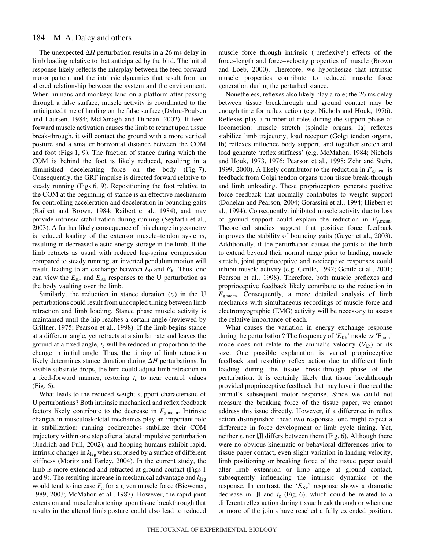The unexpected  $\Delta H$  perturbation results in a 26 ms delay in limb loading relative to that anticipated by the bird. The initial response likely reflects the interplay between the feed-forward motor pattern and the intrinsic dynamics that result from an altered relationship between the system and the environment. When humans and monkeys land on a platform after passing through a false surface, muscle activity is coordinated to the anticipated time of landing on the false surface (Dyhre-Poulsen and Laursen, 1984; McDonagh and Duncan, 2002). If feedforward muscle activation causes the limb to retract upon tissue break-through, it will contact the ground with a more vertical posture and a smaller horizontal distance between the COM and foot (Figs 1, 9). The fraction of stance during which the COM is behind the foot is likely reduced, resulting in a diminished decelerating force on the body (Fig. 7). Consequently, the GRF impulse is directed forward relative to steady running (Figs 6, 9). Repositioning the foot relative to the COM at the beginning of stance is an effective mechanism for controlling acceleration and deceleration in bouncing gaits (Raibert and Brown, 1984; Raibert et al., 1984), and may provide intrinsic stabilization during running (Seyfarth et al., 2003). A further likely consequence of this change in geometry is reduced loading of the extensor muscle–tendon systems, resulting in decreased elastic energy storage in the limb. If the limb retracts as usual with reduced leg-spring compression compared to steady running, an inverted pendulum motion will result, leading to an exchange between  $E_P$  and  $E_K$ . Thus, one can view the  $E_{\text{Kv}}$  and  $E_{\text{Kh}}$  responses to the U perturbation as the body vaulting over the limb.

Similarly, the reduction in stance duration  $(t_c)$  in the U perturbations could result from uncoupled timing between limb retraction and limb loading. Stance phase muscle activity is maintained until the hip reaches a certain angle (reviewed by Grillner, 1975; Pearson et al., 1998). If the limb begins stance at a different angle, yet retracts at a similar rate and leaves the ground at a fixed angle,  $t_c$  will be reduced in proportion to the change in initial angle. Thus, the timing of limb retraction likely determines stance duration during  $\Delta H$  perturbations. In visible substrate drops, the bird could adjust limb retraction in a feed-forward manner, restoring  $t_c$  to near control values  $(Fig. 6)$ .

What leads to the reduced weight support characteristic of U perturbations? Both intrinsic mechanical and reflex feedback factors likely contribute to the decrease in  $F_{\text{g,mean}}$ . Intrinsic changes in musculoskeletal mechanics play an important role in stabilization: running cockroaches stabilize their COM trajectory within one step after a lateral impulsive perturbation (Jindrich and Full, 2002), and hopping humans exhibit rapid, intrinsic changes in *k*leg when surprised by a surface of different stiffness (Moritz and Farley, 2004). In the current study, the limb is more extended and retracted at ground contact (Figs·1 and 9). The resulting increase in mechanical advantage and *k*leg would tend to increase  $F<sub>g</sub>$  for a given muscle force (Biewener, 1989, 2003; McMahon et al., 1987). However, the rapid joint extension and muscle shortening upon tissue breakthrough that results in the altered limb posture could also lead to reduced muscle force through intrinsic ('preflexive') effects of the force–length and force–velocity properties of muscle (Brown and Loeb, 2000). Therefore, we hypothesize that intrinsic muscle properties contribute to reduced muscle force generation during the perturbed stance.

Nonetheless, reflexes also likely play a role; the 26 ms delay between tissue breakthrough and ground contact may be enough time for reflex action (e.g. Nichols and Houk, 1976). Reflexes play a number of roles during the support phase of locomotion: muscle stretch (spindle organs, Ia) reflexes stabilize limb trajectory, load receptor (Golgi tendon organs, Ib) reflexes influence body support, and together stretch and load generate 'reflex stiffness' (e.g. McMahon, 1984; Nichols and Houk, 1973, 1976; Pearson et al., 1998; Zehr and Stein, 1999, 2000). A likely contributor to the reduction in  $F_{\text{g,mean}}$  is feedback from Golgi tendon organs upon tissue break-through and limb unloading. These proprioceptors generate positive force feedback that normally contributes to weight support (Donelan and Pearson, 2004; Gorassini et al., 1994; Hiebert et al., 1994). Consequently, inhibited muscle activity due to loss of ground support could explain the reduction in  $F_{\text{g,mean}}$ . Theoretical studies suggest that positive force feedback improves the stability of bouncing gaits (Geyer et al., 2003). Additionally, if the perturbation causes the joints of the limb to extend beyond their normal range prior to landing, muscle stretch, joint proprioceptive and nociceptive responses could inhibit muscle activity (e.g. Gentle, 1992; Gentle et al., 2001; Pearson et al., 1998). Therefore, both muscle preflexes and proprioceptive feedback likely contribute to the reduction in *F*g,mean. Consequently, a more detailed analysis of limb mechanics with simultaneous recordings of muscle force and electromyographic (EMG) activity will be necessary to assess the relative importance of each.

What causes the variation in energy exchange response during the perturbation? The frequency of  $E_{Kh}$ ' mode *vs*  $E_{com}$ ' mode does not relate to the animal's velocity  $(V_{i,h})$  or its size. One possible explanation is varied proprioceptive feedback and resulting reflex action due to different limb loading during the tissue break-through phase of the perturbation. It is certainly likely that tissue breakthrough provided proprioceptive feedback that may have influenced the animal's subsequent motor response. Since we could not measure the breaking force of the tissue paper, we cannot address this issue directly. However, if a difference in reflex action distinguished these two responses, one might expect a difference in force development or limb cycle timing. Yet, neither  $t_c$  nor  $|J|$  differs between them (Fig. 6). Although there were no obvious kinematic or behavioral differences prior to tissue paper contact, even slight variation in landing velocity, limb positioning or breaking force of the tissue paper could alter limb extension or limb angle at ground contact, subsequently influencing the intrinsic dynamics of the response. In contrast, the ' $E_{Kv}$ ' response shows a dramatic decrease in  $|J|$  and  $t_c$  (Fig. 6), which could be related to a different reflex action during tissue break through or when one or more of the joints have reached a fully extended position.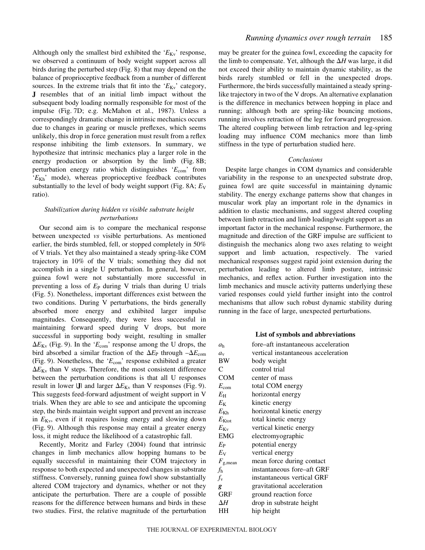Although only the smallest bird exhibited the ' $E_{\text{Kv}}$ ' response, we observed a continuum of body weight support across all birds during the perturbed step (Fig. 8) that may depend on the balance of proprioceptive feedback from a number of different sources. In the extreme trials that fit into the  $E_{Kv}$  category, **J** resembles that of an initial limb impact without the subsequent body loading normally responsible for most of the impulse (Fig. 7D; e.g. McMahon et al., 1987). Unless a correspondingly dramatic change in intrinsic mechanics occurs due to changes in gearing or muscle preflexes, which seems unlikely, this drop in force generation must result from a reflex response inhibiting the limb extensors. In summary, we hypothesize that intrinsic mechanics play a larger role in the energy production or absorption by the limb (Fig.  $8B$ ; perturbation energy ratio which distinguishes '*E*com' from '*E*Kh' mode), whereas proprioceptive feedback contributes substantially to the level of body weight support (Fig. 8A;  $E_V$ ) ratio).

## *Stabilization during hidden vs visible substrate height perturbations*

Our second aim is to compare the mechanical response between unexpected *vs* visible perturbations. As mentioned earlier, the birds stumbled, fell, or stopped completely in 50% of V trials. Yet they also maintained a steady spring-like COM trajectory in 10% of the V trials; something they did not accomplish in a single U perturbation. In general, however, guinea fowl were not substantially more successful in preventing a loss of  $E_P$  during V trials than during U trials (Fig. 5). Nonetheless, important differences exist between the two conditions. During V perturbations, the birds generally absorbed more energy and exhibited larger impulse magnitudes. Consequently, they were less successful in maintaining forward speed during V drops, but more successful in supporting body weight, resulting in smaller  $\Delta E_{\text{Kv}}$  (Fig. 9). In the ' $E_{\text{com}}$ ' response among the U drops, the bird absorbed a similar fraction of the  $\Delta E_{\rm P}$  through  $-\Delta E_{\rm com}$ (Fig. 9). Nonetheless, the ' $E_{com}$ ' response exhibited a greater  $\Delta E_{\rm Kv}$  than V steps. Therefore, the most consistent difference between the perturbation conditions is that all U responses result in lower  $|J|$  and larger  $\Delta E_{Kv}$  than V responses (Fig. 9). This suggests feed-forward adjustment of weight support in V trials. When they are able to see and anticipate the upcoming step, the birds maintain weight support and prevent an increase in *E*Kv, even if it requires losing energy and slowing down (Fig. 9). Although this response may entail a greater energy loss, it might reduce the likelihood of a catastrophic fall.

Recently, Moritz and Farley (2004) found that intrinsic changes in limb mechanics allow hopping humans to be equally successful in maintaining their COM trajectory in response to both expected and unexpected changes in substrate stiffness. Conversely, running guinea fowl show substantially altered COM trajectory and dynamics, whether or not they anticipate the perturbation. There are a couple of possible reasons for the difference between humans and birds in these two studies. First, the relative magnitude of the perturbation may be greater for the guinea fowl, exceeding the capacity for the limb to compensate. Yet, although the  $\Delta H$  was large, it did not exceed their ability to maintain dynamic stability, as the birds rarely stumbled or fell in the unexpected drops. Furthermore, the birds successfully maintained a steady springlike trajectory in two of the V drops. An alternative explanation is the difference in mechanics between hopping in place and running; although both are spring-like bouncing motions, running involves retraction of the leg for forward progression. The altered coupling between limb retraction and leg-spring loading may influence COM mechanics more than limb stiffness in the type of perturbation studied here.

## *Conclusions*

Despite large changes in COM dynamics and considerable variability in the response to an unexpected substrate drop, guinea fowl are quite successful in maintaining dynamic stability. The energy exchange patterns show that changes in muscular work play an important role in the dynamics in addition to elastic mechanisms, and suggest altered coupling between limb retraction and limb loading/weight support as an important factor in the mechanical response. Furthermore, the magnitude and direction of the GRF impulse are sufficient to distinguish the mechanics along two axes relating to weight support and limb actuation, respectively. The varied mechanical responses suggest rapid joint extension during the perturbation leading to altered limb posture, intrinsic mechanics, and reflex action. Further investigation into the limb mechanics and muscle activity patterns underlying these varied responses could yield further insight into the control mechanisms that allow such robust dynamic stability during running in the face of large, unexpected perturbations.

#### **List of symbols and abbreviations**

| fore–aft instantaneous acceleration |  |  |  |
|-------------------------------------|--|--|--|
| vertical instantaneous acceleration |  |  |  |
| body weight                         |  |  |  |
| control trial                       |  |  |  |
| center of mass                      |  |  |  |
| total COM energy                    |  |  |  |
| horizontal energy                   |  |  |  |
| kinetic energy                      |  |  |  |
| horizontal kinetic energy           |  |  |  |
| total kinetic energy                |  |  |  |
| vertical kinetic energy             |  |  |  |
| electromyographic                   |  |  |  |
| potential energy                    |  |  |  |
| vertical energy                     |  |  |  |
| mean force during contact           |  |  |  |
| instantaneous fore–aft GRF          |  |  |  |
| instantaneous vertical GRF          |  |  |  |
| gravitational acceleration          |  |  |  |
| ground reaction force               |  |  |  |
| drop in substrate height            |  |  |  |
| hip height                          |  |  |  |
|                                     |  |  |  |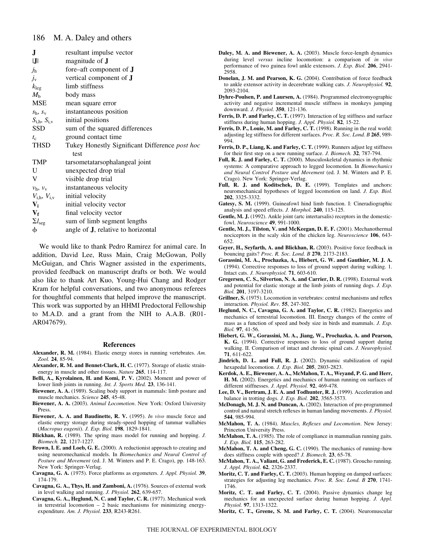| J                       | resultant impulse vector                       |
|-------------------------|------------------------------------------------|
| J                       | magnitude of <b>J</b>                          |
| J <sub>h</sub>          | fore–aft component of J                        |
| $j_{\rm v}$             | vertical component of <b>J</b>                 |
| $k_{\text{leg}}$        | limb stiffness                                 |
| $M_{\rm h}$             | body mass                                      |
| <b>MSE</b>              | mean square error                              |
| $S_h$ , $S_V$           | instantaneous position                         |
| $S_{i,h}, S_{i,v}$      | initial positions                              |
| <b>SSD</b>              | sum of the squared differences                 |
| $t_c$                   | ground contact time                            |
| THSD                    | Tukey Honestly Significant Difference post hoc |
|                         | test                                           |
| <b>TMP</b>              | tarsometatarsophalangeal joint                 |
| U                       | unexpected drop trial                          |
| V                       | visible drop trial                             |
| $v_h$ , $v_v$           | instantaneous velocity                         |
| $V_{i,h}, V_{i,v}$      | initial velocity                               |
| $V_i$                   | initial velocity vector                        |
| $V_{\rm f}$             | final velocity vector                          |
| $\Sigma l_{\text{seg}}$ | sum of limb segment lengths                    |
| $\phi$                  | angle of <b>J</b> , relative to horizontal     |
|                         |                                                |

We would like to thank Pedro Ramirez for animal care. In addition, David Lee, Russ Main, Craig McGowan, Polly McGuigan, and Chris Wagner assisted in the experiments, provided feedback on manuscript drafts or both. We would also like to thank Art Kuo, Young-Hui Chang and Rodger Kram for helpful conversations, and two anonymous referees for thoughtful comments that helped improve the manuscript. This work was supported by an HHMI Predoctoral Fellowship to M.A.D. and a grant from the NIH to A.A.B. (R01- AR047679).

#### **References**

- **Alexander, R. M.** (1984). Elastic energy stores in running vertebrates. *Am. Zool.* **24**, 85-94.
- **Alexander, R. M. and Bennet-Clark, H. C.** (1977). Storage of elastic strainenergy in muscle and other tissues. *Nature* **265**, 114-117.
- **Belli, A., Kyrolainen, H. and Komi, P. V.** (2002). Moment and power of lower limb joints in running. *Int. J. Sports Med.* **23**, 136-141.
- **Biewener, A. A.** (1989). Scaling body support in mammals: limb posture and muscle mechanics. *Science* **245**, 45-48.
- **Biewener, A. A.** (2003). *Animal Locomotion*. New York: Oxford University Press.
- **Biewener, A. A. and Baudinette, R. V.** (1995). *In vivo* muscle force and elastic energy storage during steady-speed hopping of tammar wallabies (*Macropus eugenii*). *J. Exp. Biol.* **198**, 1829-1841.
- **Blickhan, R.** (1989). The spring mass model for running and hopping. *J. Biomech.* **22**, 1217-1227.
- **Brown, I. E. and Loeb, G. E.** (2000). A reductionist approach to creating and using neuromechanical models. In *Biomechanics and Neural Control of Posture and Movement* (ed. J. M. Winters and P. E. Crago), pp. 148-163. New York: Springer-Verlag.
- **Cavagna, G. A.** (1975). Force platforms as ergometers. *J. Appl. Physiol.* **39**, 174-179.
- **Cavagna, G. A., Thys, H. and Zamboni, A.** (1976). Sources of external work in level walking and running. *J. Physiol.* **262**, 639-657.
- **Cavagna, G. A., Heglund, N. C. and Taylor, C. R.** (1977). Mechanical work in terrestrial locomotion  $-2$  basic mechanisms for minimizing energyexpenditure. *Am. J. Physiol.* **233**, R243-R261.
- **Daley, M. A. and Biewener, A. A.** (2003). Muscle force-length dynamics during level *versus* incline locomotion: a comparison of *in vivo* performance of two guinea fowl ankle extensors. *J. Exp. Biol.* **206**, 2941- 2958.
- **Donelan, J. M. and Pearson, K. G.** (2004). Contribution of force feedback to ankle extensor activity in decerebrate walking cats. *J. Neurophysiol.* **92**, 2093-2104.
- **Dyhre-Poulsen, P. and Laursen, A.** (1984). Programmed electromyographic activity and negative incremental muscle stiffness in monkeys jumping downward. *J. Physiol.* **350**, 121-136.
- **Ferris, D. P. and Farley, C. T.** (1997). Interaction of leg stiffness and surface stiffness during human hopping. *J. Appl. Physiol.* **82**, 15-22.
- **Ferris, D. P., Louie, M. and Farley, C. T.** (1998). Running in the real world: adjusting leg stiffness for different surfaces. *Proc. R. Soc. Lond. B* **265**, 989- 994.
- **Ferris, D. P., Liang, K. and Farley, C. T.** (1999). Runners adjust leg stiffness for their first step on a new running surface. *J. Biomech.* **32**, 787-794.
- **Full, R. J. and Farley, C. T.** (2000). Musculoskeletal dynamics in rhythmic systems: A comparative approach to legged locomotion. In *Biomechanics and Neural Control Posture and Movement* (ed. J. M. Winters and P. E. Crago). New York: Springer-Verlag.
- **Full, R. J. and Koditschek, D. E.** (1999). Templates and anchors: neuromechanical hypotheses of legged locomotion on land. *J. Exp. Biol.* **202**, 3325-3332.
- **Gatesy, S. M.** (1999). Guineafowl hind limb function. I: Cineradiographic analysis and speed effects. *J. Morphol.* **240**, 115-125.
- Gentle, M. J. (1992). Ankle joint (artc intertarsalis) receptors in the domesticfowl. *Neuroscience* **49**, 991-1000.
- **Gentle, M. J., Tilston, V. and McKeegan, D. E. F.** (2001). Mechanothermal nociceptors in the scaly skin of the chicken leg. *Neuroscience* **106**, 643- 652.
- **Geyer, H., Seyfarth, A. and Blickhan, R.** (2003). Positive force feedback in bouncing gaits? *Proc. R. Soc. Lond. B* **270**, 2173-2183.
- **Gorassini, M. A., Prochazka, A., Hiebert, G. W. and Gauthier, M. J. A.** (1994). Corrective responses to loss of ground support during walking. 1. Intact cats. *J. Neurophysiol.* **71**, 603-610.
- **Gregersen, C. S., Silverton, N. A. and Carrier, D. R.** (1998). External work and potential for elastic storage at the limb joints of running dogs. *J. Exp. Biol.* **201**, 3197-3210.
- **Grillner, S.** (1975). Locomotion in vertebrates: central mechanisms and reflex interaction. *Physiol. Rev.* **55**, 247-302.
- **Heglund, N. C., Cavagna, G. A. and Taylor, C. R.** (1982). Energetics and mechanics of terrestrial locomotion. III. Energy changes of the centre of mass as a function of speed and body size in birds and mammals. *J. Exp. Biol.* **97**, 41-56.
- **Hiebert, G. W., Gorassini, M. A., Jiang, W., Prochazka, A. and Pearson, K. G.** (1994). Corrective responses to loss of ground support during walking. II. Comparison of intact and chronic spinal cats. *J. Neurophysiol.* **71**, 611-622.
- **Jindrich, D. L. and Full, R. J.** (2002). Dynamic stabilization of rapid hexapedal locomotion. *J. Exp. Biol.* **205**, 2803-2823.
- **Kerdok, A. E., Biewener, A. A., McMahon, T. A., Weyand, P. G. and Herr, H. M.** (2002). Energetics and mechanics of human running on surfaces of different stiffnesses. *J. Appl. Physiol.* **92**, 469-478.
- **Lee, D. V., Bertram, J. E. A. and Todhunter, R. J.** (1999). Acceleration and balance in trotting dogs. *J. Exp. Biol.* **202**, 3565-3573.
- **McDonagh, M. J. N. and Duncan, A.** (2002). Interaction of pre-programmed control and natural stretch reflexes in human landing movements. *J. Physiol.* **544**, 985-994.
- **McMahon, T. A.** (1984). *Muscles, Reflexes and Locomotion*. New Jersey: Princeton University Press.
- **McMahon, T. A.** (1985). The role of compliance in mammalian running gaits. *J. Exp. Biol.* **115**, 263-282.
- **McMahon, T. A. and Cheng, G. C.** (1990). The mechanics of running–how does stiffness couple with speed? *J. Biomech.* **23**, 65-78.
- **McMahon, T. A., Valiant, G. and Frederick, E. C.** (1987). Groucho running. *J. Appl. Physiol.* **62**, 2326-2337.
- **Moritz, C. T. and Farley, C. T.** (2003). Human hopping on damped surfaces: strategies for adjusting leg mechanics. *Proc. R. Soc. Lond. B* **270**, 1741- 1746.
- **Moritz, C. T. and Farley, C. T.** (2004). Passive dynamics change leg mechanics for an unexpected surface during human hopping. *J. Appl. Physiol.* **97**, 1313-1322.
- **Moritz, C. T., Greene, S. M. and Farley, C. T.** (2004). Neuromuscular